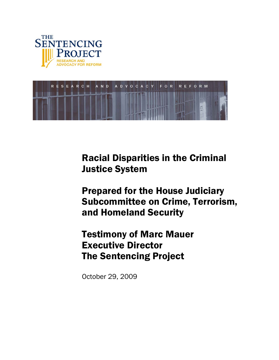



Racial Disparities in the Criminal Justice System

Prepared for the House Judiciary Subcommittee on Crime, Terrorism, and Homeland Security

Testimony of Marc Mauer Executive Director The Sentencing Project

October 29, 2009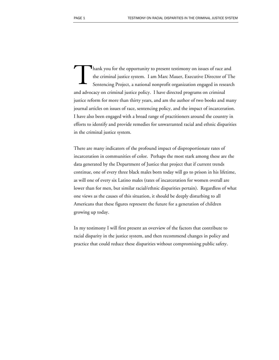hank you for the opportunity to present testimony on issues of race and the criminal justice system. I am Marc Mauer, Executive Director of The Sentencing Project, a national nonprofit organization engaged in research and advocacy on criminal justice policy. I have directed programs on criminal justice reform for more than thirty years, and am the author of two books and many journal articles on issues of race, sentencing policy, and the impact of incarceration. I have also been engaged with a broad range of practitioners around the country in efforts to identify and provide remedies for unwarranted racial and ethnic disparities in the criminal justice system. T

There are many indicators of the profound impact of disproportionate rates of incarceration in communities of color. Perhaps the most stark among these are the data generated by the Department of Justice that project that if current trends continue, one of every three black males born today will go to prison in his lifetime, as will one of every six Latino males (rates of incarceration for women overall are lower than for men, but similar racial/ethnic disparities pertain). Regardless of what one views as the causes of this situation, it should be deeply disturbing to all Americans that these figures represent the future for a generation of children growing up today.

In my testimony I will first present an overview of the factors that contribute to racial disparity in the justice system, and then recommend changes in policy and practice that could reduce these disparities without compromising public safety.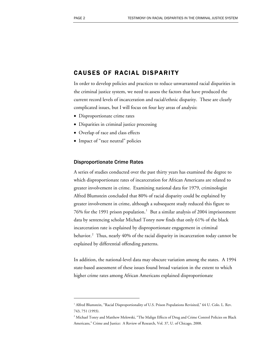$\overline{a}$ 

# CAUSES OF RACIAL DISPARITY

In order to develop policies and practices to reduce unwarranted racial disparities in the criminal justice system, we need to assess the factors that have produced the current record levels of incarceration and racial/ethnic disparity. These are clearly complicated issues, but I will focus on four key areas of analysis:

- Disproportionate crime rates
- Disparities in criminal justice processing
- Overlap of race and class effects
- Impact of "race neutral" policies

#### Disproportionate Crime Rates

A series of studies conducted over the past thirty years has examined the degree to which disproportionate rates of incarceration for African Americans are related to greater involvement in crime. Examining national data for 1979, criminologist Alfred Blumstein concluded that 80% of racial disparity could be explained by greater involvement in crime, although a subsequent study reduced this figure to 76% for the [1](#page-2-0)991 prison population.<sup>1</sup> But a similar analysis of 2004 imprisonment data by sentencing scholar Michael Tonry now finds that only 61% of the black incarceration rate is explained by disproportionate engagement in criminal behavior.<sup>[2](#page-2-1)</sup> Thus, nearly 40% of the racial disparity in incarceration today cannot be explained by differential offending patterns.

In addition, the national-level data may obscure variation among the states. A 1994 state-based assessment of these issues found broad variation in the extent to which higher crime rates among African Americans explained disproportionate

<span id="page-2-0"></span><sup>&</sup>lt;sup>1</sup> Alfred Blumstein, "Racial Disproportionality of U.S. Prison Populations Revisited," 64 U. Colo. L. Rev. 743, 751 (1993).

<span id="page-2-1"></span> $^2$  Michael Tonry and Matthew Melewski, "The Malign Effects of Drug and Crime Control Policies on Black Americans," Crime and Justice: A Review of Research, Vol. 37, U. of Chicago, 2008.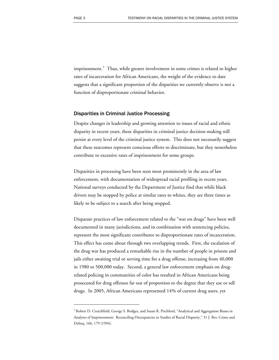$\overline{a}$ 

imprisonment. $3$  Thus, while greater involvement in some crimes is related to higher rates of incarceration for African Americans, the weight of the evidence to date suggests that a significant proportion of the disparities we currently observe is not a function of disproportionate criminal behavior.

### Disparities in Criminal Justice Processing

Despite changes in leadership and growing attention to issues of racial and ethnic disparity in recent years, these disparities in criminal justice decision-making still persist at every level of the criminal justice system. This does not necessarily suggest that these outcomes represent conscious efforts to discriminate, but they nonetheless contribute to excessive rates of imprisonment for some groups.

Disparities in processing have been seen most prominently in the area of law enforcement, with documentation of widespread racial profiling in recent years. National surveys conducted by the Department of Justice find that while black drivers may be stopped by police at similar rates to whites, they are three times as likely to be subject to a search after being stopped.

Disparate practices of law enforcement related to the "war on drugs" have been well documented in many jurisdictions, and in combination with sentencing policies, represent the most significant contributor to disproportionate rates of incarceration. This effect has come about through two overlapping trends. First, the escalation of the drug war has produced a remarkable rise in the number of people in prisons and jails either awaiting trial or serving time for a drug offense, increasing from 40,000 in 1980 to 500,000 today. Second, a general law enforcement emphasis on drugrelated policing in communities of color has resulted in African Americans being prosecuted for drug offenses far out of proportion to the degree that they use or sell drugs. In 2005, African Americans represented 14% of current drug users, yet

<span id="page-3-0"></span><sup>&</sup>lt;sup>3</sup> Robert D. Crutchfield, George S. Bridges, and Susan R. Pitchford, "Analytical and Aggregation Biases in Analyses of Imprisonment: Reconciling Discrepancies in Studies of Racial Disparity," 31 J. Res. Crime and Delinq. 166, 179 (1994).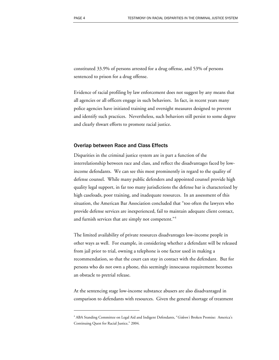<u>.</u>

constituted 33.9% of persons arrested for a drug offense, and 53% of persons sentenced to prison for a drug offense.

Evidence of racial profiling by law enforcement does not suggest by any means that all agencies or all officers engage in such behaviors. In fact, in recent years many police agencies have initiated training and oversight measures designed to prevent and identify such practices. Nevertheless, such behaviors still persist to some degree and clearly thwart efforts to promote racial justice.

#### Overlap between Race and Class Effects

Disparities in the criminal justice system are in part a function of the interrelationship between race and class, and reflect the disadvantages faced by lowincome defendants. We can see this most prominently in regard to the quality of defense counsel. While many public defenders and appointed counsel provide high quality legal support, in far too many jurisdictions the defense bar is characterized by high caseloads, poor training, and inadequate resources. In an assessment of this situation, the American Bar Association concluded that "too often the lawyers who provide defense services are inexperienced, fail to maintain adequate client contact, and furnish services that are simply not competent."<sup>[4](#page-4-0)</sup>

The limited availability of private resources disadvantages low-income people in other ways as well. For example, in considering whether a defendant will be released from jail prior to trial, owning a telephone is one factor used in making a recommendation, so that the court can stay in contact with the defendant. But for persons who do not own a phone, this seemingly innocuous requirement becomes an obstacle to pretrial release.

At the sentencing stage low-income substance abusers are also disadvantaged in comparison to defendants with resources. Given the general shortage of treatment

<span id="page-4-0"></span><sup>4</sup> ABA Standing Committee on Legal Aid and Indigent Defendants, "*Gideon's* Broken Promise: America's Continuing Quest for Racial Justice," 2004.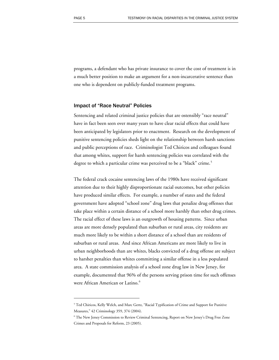$\overline{a}$ 

programs, a defendant who has private insurance to cover the cost of treatment is in a much better position to make an argument for a non-incarcerative sentence than one who is dependent on publicly-funded treatment programs.

#### Impact of "Race Neutral" Policies

Sentencing and related criminal justice policies that are ostensibly "race neutral" have in fact been seen over many years to have clear racial effects that could have been anticipated by legislators prior to enactment. Research on the development of punitive sentencing policies sheds light on the relationship between harsh sanctions and public perceptions of race. Criminologist Ted Chiricos and colleagues found that among whites, support for harsh sentencing policies was correlated with the degree to which a particular crime was perceived to be a "black" crime.

The federal crack cocaine sentencing laws of the 1980s have received significant attention due to their highly disproportionate racial outcomes, but other policies have produced similar effects. For example, a number of states and the federal government have adopted "school zone" drug laws that penalize drug offenses that take place within a certain distance of a school more harshly than other drug crimes. The racial effect of these laws is an outgrowth of housing patterns. Since urban areas are more densely populated than suburban or rural areas, city residents are much more likely to be within a short distance of a school than are residents of suburban or rural areas. And since African Americans are more likely to live in urban neighborhoods than are whites, blacks convicted of a drug offense are subject to harsher penalties than whites committing a similar offense in a less populated area. A state commission analysis of a school zone drug law in New Jersey, for example, documented that 96% of the persons serving prison time for such offenses were African American or Latino.<sup>[6](#page-5-1)</sup>

<span id="page-5-0"></span><sup>&</sup>lt;sup>5</sup> Ted Chiricos, Kelly Welch, and Marc Gertz, "Racial Typification of Crime and Support for Punitive Measures," 42 Criminology 359, 374 (2004).

<span id="page-5-1"></span><sup>6</sup> The New Jersey Commission to Review Criminal Sentencing, Report on New Jersey's Drug Free Zone Crimes and Proposals for Reform, 23 (2005).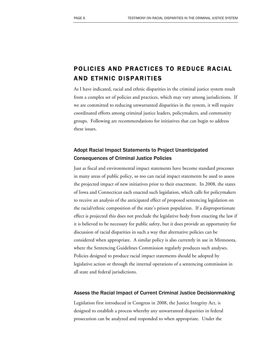# POLICIES AND PRACTICES TO REDUCE RACIAL AND ETHNIC DISPARITIES

As I have indicated, racial and ethnic disparities in the criminal justice system result from a complex set of policies and practices, which may vary among jurisdictions. If we are committed to reducing unwarranted disparities in the system, it will require coordinated efforts among criminal justice leaders, policymakers, and community groups. Following are recommendations for initiatives that can begin to address these issues.

## Adopt Racial Impact Statements to Project Unanticipated Consequences of Criminal Justice Policies

Just as fiscal and environmental impact statements have become standard processes in many areas of public policy, so too can racial impact statements be used to assess the projected impact of new initiatives prior to their enactment. In 2008, the states of Iowa and Connecticut each enacted such legislation, which calls for policymakers to receive an analysis of the anticipated effect of proposed sentencing legislation on the racial/ethnic composition of the state's prison population. If a disproportionate effect is projected this does not preclude the legislative body from enacting the law if it is believed to be necessary for public safety, but it does provide an opportunity for discussion of racial disparities in such a way that alternative policies can be considered when appropriate. A similar policy is also currently in use in Minnesota, where the Sentencing Guidelines Commission regularly produces such analyses. Policies designed to produce racial impact statements should be adopted by legislative action or through the internal operations of a sentencing commission in all state and federal jurisdictions.

### Assess the Racial Impact of Current Criminal Justice Decisionmaking

Legislation first introduced in Congress in 2008, the Justice Integrity Act, is designed to establish a process whereby any unwarranted disparities in federal prosecution can be analyzed and responded to when appropriate. Under the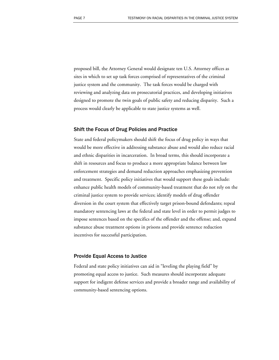proposed bill, the Attorney General would designate ten U.S. Attorney offices as sites in which to set up task forces comprised of representatives of the criminal justice system and the community. The task forces would be charged with reviewing and analyzing data on prosecutorial practices, and developing initiatives designed to promote the twin goals of public safety and reducing disparity. Such a process would clearly be applicable to state justice systems as well.

### Shift the Focus of Drug Policies and Practice

State and federal policymakers should shift the focus of drug policy in ways that would be more effective in addressing substance abuse and would also reduce racial and ethnic disparities in incarceration. In broad terms, this should incorporate a shift in resources and focus to produce a more appropriate balance between law enforcement strategies and demand reduction approaches emphasizing prevention and treatment. Specific policy initiatives that would support these goals include: enhance public health models of community-based treatment that do not rely on the criminal justice system to provide services; identify models of drug offender diversion in the court system that effectively target prison-bound defendants; repeal mandatory sentencing laws at the federal and state level in order to permit judges to impose sentences based on the specifics of the offender and the offense; and, expand substance abuse treatment options in prisons and provide sentence reduction incentives for successful participation.

### Provide Equal Access to Justice

Federal and state policy initiatives can aid in "leveling the playing field" by promoting equal access to justice. Such measures should incorporate adequate support for indigent defense services and provide a broader range and availability of community-based sentencing options.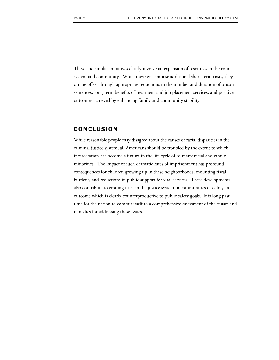These and similar initiatives clearly involve an expansion of resources in the court system and community. While these will impose additional short-term costs, they can be offset through appropriate reductions in the number and duration of prison sentences, long-term benefits of treatment and job placement services, and positive outcomes achieved by enhancing family and community stability.

# **CONCLUSION**

While reasonable people may disagree about the causes of racial disparities in the criminal justice system, all Americans should be troubled by the extent to which incarceration has become a fixture in the life cycle of so many racial and ethnic minorities. The impact of such dramatic rates of imprisonment has profound consequences for children growing up in these neighborhoods, mounting fiscal burdens, and reductions in public support for vital services. These developments also contribute to eroding trust in the justice system in communities of color, an outcome which is clearly counterproductive to public safety goals. It is long past time for the nation to commit itself to a comprehensive assessment of the causes and remedies for addressing these issues.